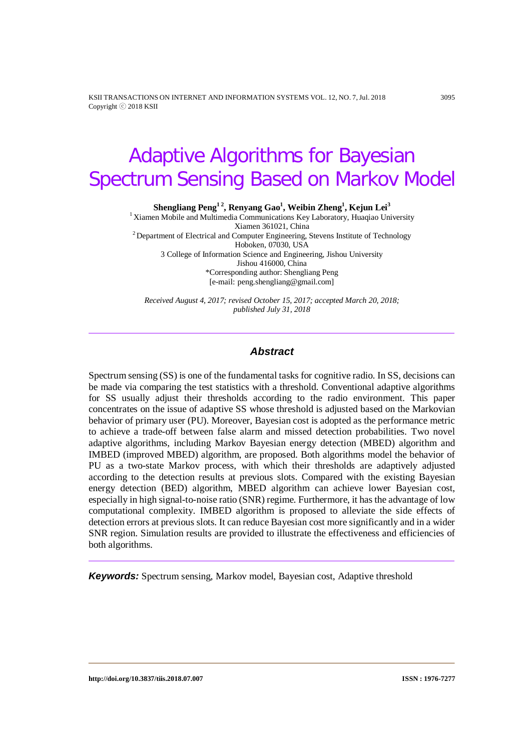KSII TRANSACTIONS ON INTERNET AND INFORMATION SYSTEMS VOL. 12, NO. 7, Jul. 2018 3095 Copyright ⓒ 2018 KSII

# Adaptive Algorithms for Bayesian Spectrum Sensing Based on Markov Model

 $\boldsymbol{\mathrm{Shending\, Peng^{12}, Renyang\,Gao^{1}, Weibin\, Zheng^{1}, Kejun\,Lei^{3}}$ 

<sup>1</sup> Xiamen Mobile and Multimedia Communications Key Laboratory, Huaqiao University <sup>2</sup> Department of Electrical and Computer Engineering, Stevens Institute of Technology Hoboken, 07030, USA 3 College of Information Science and Engineering, Jishou University Jishou 416000, China \*Corresponding author: Shengliang Peng [e-mail: peng.shengliang@gmail.com]

*Received August 4, 2017; revised October 15, 2017; accepted March 20, 2018; published July 31, 2018*

#### *Abstract*

Spectrum sensing (SS) is one of the fundamental tasks for cognitive radio. In SS, decisions can be made via comparing the test statistics with a threshold. Conventional adaptive algorithms for SS usually adjust their thresholds according to the radio environment. This paper concentrates on the issue of adaptive SS whose threshold is adjusted based on the Markovian behavior of primary user (PU). Moreover, Bayesian cost is adopted as the performance metric to achieve a trade-off between false alarm and missed detection probabilities. Two novel adaptive algorithms, including Markov Bayesian energy detection (MBED) algorithm and IMBED (improved MBED) algorithm, are proposed. Both algorithms model the behavior of PU as a two-state Markov process, with which their thresholds are adaptively adjusted according to the detection results at previous slots. Compared with the existing Bayesian energy detection (BED) algorithm, MBED algorithm can achieve lower Bayesian cost, especially in high signal-to-noise ratio (SNR) regime. Furthermore, it has the advantage of low computational complexity. IMBED algorithm is proposed to alleviate the side effects of detection errors at previous slots. It can reduce Bayesian cost more significantly and in a wider SNR region. Simulation results are provided to illustrate the effectiveness and efficiencies of both algorithms.

*Keywords:* Spectrum sensing, Markov model, Bayesian cost, Adaptive threshold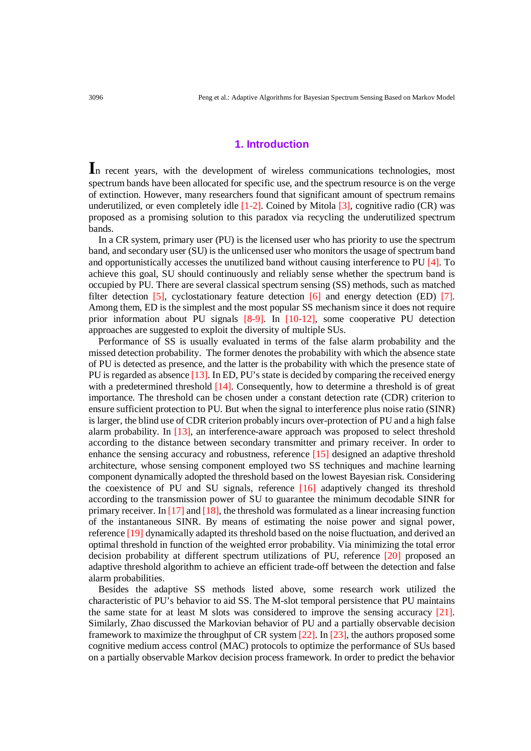### **1. Introduction**

In recent years, with the development of wireless communications technologies, most spectrum bands have been allocated for specific use, and the spectrum resource is on the verge of extinction. However, many researchers found that significant amount of spectrum remains underutilized, or even completely idle  $[1-2]$ . Coined by Mitola  $[3]$ , cognitive radio (CR) was proposed as a promising solution to this paradox via recycling the underutilized spectrum bands.

In a CR system, primary user (PU) is the licensed user who has priority to use the spectrum band, and secondary user (SU) is the unlicensed user who monitors the usage of spectrum band and opportunistically accesses the unutilized band without causing interference to PU [4]. To achieve this goal, SU should continuously and reliably sense whether the spectrum band is occupied by PU. There are several classical spectrum sensing (SS) methods, such as matched filter detection [5], cyclostationary feature detection [6] and energy detection (ED) [7]. Among them, ED is the simplest and the most popular SS mechanism since it does not require prior information about PU signals [8-9]. In [10-12], some cooperative PU detection approaches are suggested to exploit the diversity of multiple SUs.

Performance of SS is usually evaluated in terms of the false alarm probability and the missed detection probability. The former denotes the probability with which the absence state of PU is detected as presence, and the latter is the probability with which the presence state of PU is regarded as absence [13]. In ED, PU's state is decided by comparing the received energy with a predetermined threshold [14]. Consequently, how to determine a threshold is of great importance. The threshold can be chosen under a constant detection rate (CDR) criterion to ensure sufficient protection to PU. But when the signal to interference plus noise ratio (SINR) is larger, the blind use of CDR criterion probably incurs over-protection of PU and a high false alarm probability. In [13], an interference-aware approach was proposed to select threshold according to the distance between secondary transmitter and primary receiver. In order to enhance the sensing accuracy and robustness, reference [15] designed an adaptive threshold architecture, whose sensing component employed two SS techniques and machine learning component dynamically adopted the threshold based on the lowest Bayesian risk. Considering the coexistence of PU and SU signals, reference [16] adaptively changed its threshold according to the transmission power of SU to guarantee the minimum decodable SINR for primary receiver. In [17] and [18], the threshold was formulated as a linear increasing function of the instantaneous SINR. By means of estimating the noise power and signal power, reference [19] dynamically adapted its threshold based on the noise fluctuation, and derived an optimal threshold in function of the weighted error probability. Via minimizing the total error decision probability at different spectrum utilizations of PU, reference [20] proposed an adaptive threshold algorithm to achieve an efficient trade-off between the detection and false alarm probabilities.

Besides the adaptive SS methods listed above, some research work utilized the characteristic of PU's behavior to aid SS. The M-slot temporal persistence that PU maintains the same state for at least M slots was considered to improve the sensing accuracy [21]. Similarly, Zhao discussed the Markovian behavior of PU and a partially observable decision framework to maximize the throughput of CR system [22]. In [23], the authors proposed some cognitive medium access control (MAC) protocols to optimize the performance of SUs based on a partially observable Markov decision process framework. In order to predict the behavior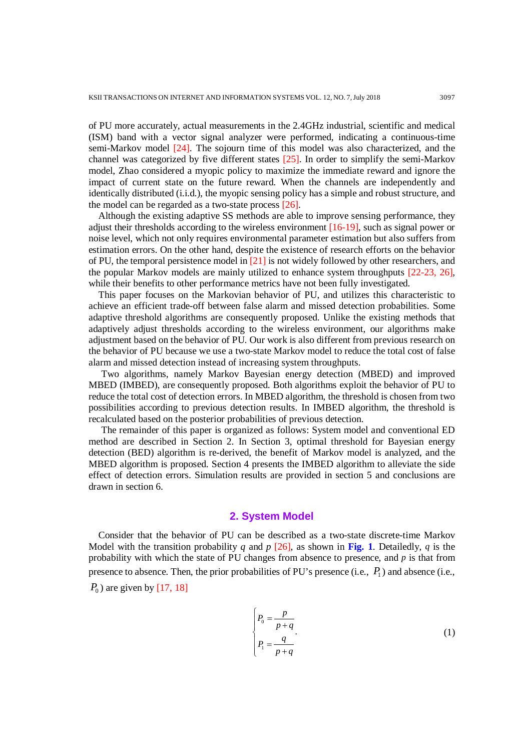of PU more accurately, actual measurements in the 2.4GHz industrial, scientific and medical (ISM) band with a vector signal analyzer were performed, indicating a continuous-time semi-Markov model [24]. The sojourn time of this model was also characterized, and the channel was categorized by five different states [25]. In order to simplify the semi-Markov model, Zhao considered a myopic policy to maximize the immediate reward and ignore the impact of current state on the future reward. When the channels are independently and identically distributed (i.i.d.), the myopic sensing policy has a simple and robust structure, and the model can be regarded as a two-state process [26].

Although the existing adaptive SS methods are able to improve sensing performance, they adjust their thresholds according to the wireless environment [16-19], such as signal power or noise level, which not only requires environmental parameter estimation but also suffers from estimation errors. On the other hand, despite the existence of research efforts on the behavior of PU, the temporal persistence model in  $\boxed{21}$  is not widely followed by other researchers, and the popular Markov models are mainly utilized to enhance system throughputs [22-23, 26], while their benefits to other performance metrics have not been fully investigated.

This paper focuses on the Markovian behavior of PU, and utilizes this characteristic to achieve an efficient trade-off between false alarm and missed detection probabilities. Some adaptive threshold algorithms are consequently proposed. Unlike the existing methods that adaptively adjust thresholds according to the wireless environment, our algorithms make adjustment based on the behavior of PU. Our work is also different from previous research on the behavior of PU because we use a two-state Markov model to reduce the total cost of false alarm and missed detection instead of increasing system throughputs.

Two algorithms, namely Markov Bayesian energy detection (MBED) and improved MBED (IMBED), are consequently proposed. Both algorithms exploit the behavior of PU to reduce the total cost of detection errors. In MBED algorithm, the threshold is chosen from two possibilities according to previous detection results. In IMBED algorithm, the threshold is recalculated based on the posterior probabilities of previous detection.

The remainder of this paper is organized as follows: System model and conventional ED method are described in Section 2. In Section 3, optimal threshold for Bayesian energy detection (BED) algorithm is re-derived, the benefit of Markov model is analyzed, and the MBED algorithm is proposed. Section 4 presents the IMBED algorithm to alleviate the side effect of detection errors. Simulation results are provided in section 5 and conclusions are drawn in section 6.

#### **2. System Model**

Consider that the behavior of PU can be described as a two-state discrete-time Markov Model with the transition probability *q* and *p* [26], as shown in **Fig. 1**. Detailedly, *q* is the probability with which the state of PU changes from absence to presence, and *p* is that from presence to absence. Then, the prior probabilities of PU's presence (i.e.,  $P_1$ ) and absence (i.e.,

 $P_0$ ) are given by [17, 18]

$$
\begin{cases}\nP_0 = \frac{p}{p+q} \\
P_1 = \frac{q}{p+q}\n\end{cases} \tag{1}
$$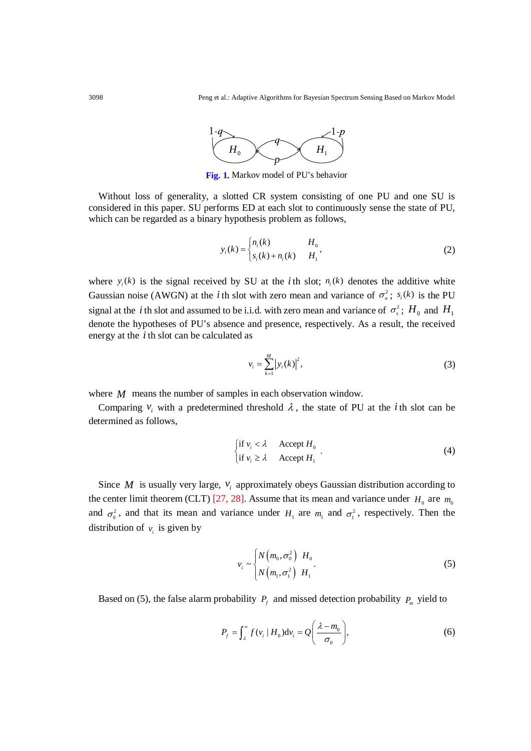

**Fig. 1.** Markov model of PU's behavior

Without loss of generality, a slotted CR system consisting of one PU and one SU is considered in this paper. SU performs ED at each slot to continuously sense the state of PU, which can be regarded as a binary hypothesis problem as follows,

$$
y_i(k) = \begin{cases} n_i(k) & H_0 \\ s_i(k) + n_i(k) & H_1 \end{cases}
$$
 (2)

where  $y_i(k)$  is the signal received by SU at the *i* th slot;  $n_i(k)$  denotes the additive white Gaussian noise (AWGN) at the *i* th slot with zero mean and variance of  $\sigma_n^2$ ;  $s_i(k)$  is the PU signal at the *i* th slot and assumed to be i.i.d. with zero mean and variance of  $\sigma_s^2$ ;  $H_0$  and  $H_1$ denote the hypotheses of PU's absence and presence, respectively. As a result, the received energy at the *i* th slot can be calculated as

$$
v_i = \sum_{k=1}^{M} |y_i(k)|^2,
$$
 (3)

where *M* means the number of samples in each observation window.

Comparing  $v_i$  with a predetermined threshold  $\lambda$ , the state of PU at the *i* th slot can be determined as follows,

$$
\begin{cases} \text{if } v_i < \lambda \\ \text{if } v_i \ge \lambda \end{cases} \text{Accept } H_0 \tag{4}
$$

Since  $M$  is usually very large,  $v_i$  approximately obeys Gaussian distribution according to the center limit theorem (CLT) [27, 28]. Assume that its mean and variance under  $H_0$  are  $m_0$ and  $\sigma_0^2$ , and that its mean and variance under  $H_1$  are  $m_1$  and  $\sigma_1^2$ , respectively. Then the distribution of  $v_i$  is given by

$$
v_i \sim \begin{cases} N\left(m_0, \sigma_0^2\right) & H_0 \\ N\left(m_1, \sigma_1^2\right) & H_1 \end{cases} \tag{5}
$$

Based on (5), the false alarm probability  $P_f$  and missed detection probability  $P_m$  yield to

$$
P_f = \int_{\lambda}^{\infty} f(v_i \mid H_0) \mathrm{d}v_i = Q\left(\frac{\lambda - m_0}{\sigma_0}\right),\tag{6}
$$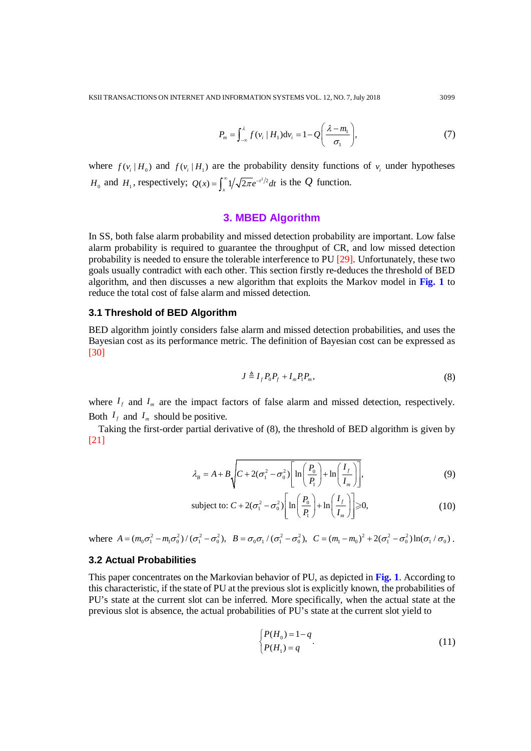$$
P_m = \int_{-\infty}^{\lambda} f(v_i \mid H_1) \mathrm{d}v_i = 1 - Q\left(\frac{\lambda - m_1}{\sigma_1}\right),\tag{7}
$$

where  $f(v_i | H_0)$  and  $f(v_i | H_1)$  are the probability density functions of  $v_i$  under hypotheses *H*<sub>0</sub> and *H*<sub>1</sub>, respectively;  $Q(x) = \int_{x}^{\infty} \frac{1}{\sqrt{2\pi}} e^{-t^2/2} dt$  is the *Q* function.

## **3. MBED Algorithm**

In SS, both false alarm probability and missed detection probability are important. Low false alarm probability is required to guarantee the throughput of CR, and low missed detection probability is needed to ensure the tolerable interference to PU [29]. Unfortunately, these two goals usually contradict with each other. This section firstly re-deduces the threshold of BED algorithm, and then discusses a new algorithm that exploits the Markov model in **Fig. 1** to reduce the total cost of false alarm and missed detection.

#### **3.1 Threshold of BED Algorithm**

BED algorithm jointly considers false alarm and missed detection probabilities, and uses the Bayesian cost as its performance metric. The definition of Bayesian cost can be expressed as [30]

$$
J \triangleq I_f P_0 P_f + I_m P_1 P_m,\tag{8}
$$

where  $I_f$  and  $I_m$  are the impact factors of false alarm and missed detection, respectively. Both  $I_f$  and  $I_m$  should be positive.

Taking the first-order partial derivative of (8), the threshold of BED algorithm is given by [21]

$$
\lambda_B = A + B \sqrt{C + 2(\sigma_1^2 - \sigma_0^2) \left[ \ln \left( \frac{P_0}{P_1} \right) + \ln \left( \frac{I_f}{I_m} \right) \right]},
$$
\n(9)

subject to: 
$$
C + 2(\sigma_1^2 - \sigma_0^2) \left[ \ln \left( \frac{P_0}{P_1} \right) + \ln \left( \frac{I_f}{I_m} \right) \right] \ge 0,
$$
 (10)

where  $A = (m_0 \sigma_1^2 - m_1 \sigma_0^2) / (\sigma_1^2 - \sigma_0^2)$ ,  $B = \sigma_0 \sigma_1 / (\sigma_1^2 - \sigma_0^2)$ ,  $C = (m_1 - m_0)^2 + 2(\sigma_1^2 - \sigma_0^2) \ln(\sigma_1 / \sigma_0)$ .

## **3.2 Actual Probabilities**

This paper concentrates on the Markovian behavior of PU, as depicted in **Fig. 1**. According to this characteristic, if the state of PU at the previous slot is explicitly known, the probabilities of PU's state at the current slot can be inferred. More specifically, when the actual state at the previous slot is absence, the actual probabilities of PU's state at the current slot yield to

$$
\begin{cases} P(H_0) = 1 - q \\ P(H_1) = q \end{cases} \tag{11}
$$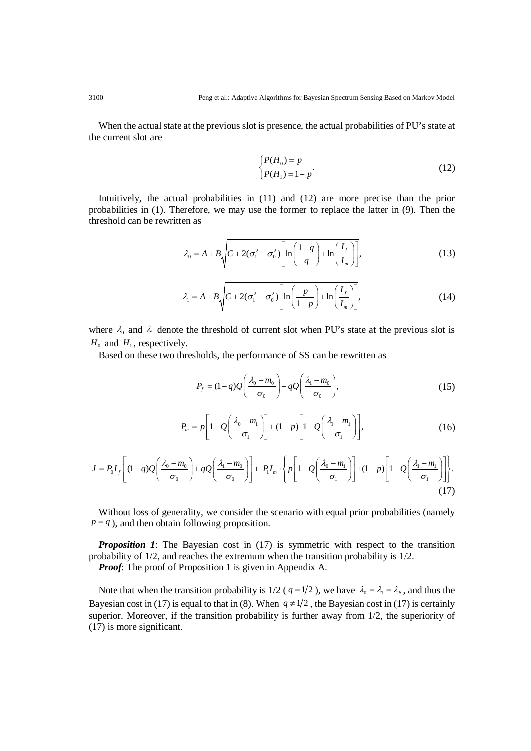When the actual state at the previous slot is presence, the actual probabilities of PU's state at the current slot are

$$
\begin{cases}\nP(H_0) = p \\
P(H_1) = 1 - p\n\end{cases} \tag{12}
$$

Intuitively, the actual probabilities in (11) and (12) are more precise than the prior probabilities in (1). Therefore, we may use the former to replace the latter in (9). Then the threshold can be rewritten as

$$
\lambda_0 = A + B \sqrt{C + 2(\sigma_1^2 - \sigma_0^2) \left[ \ln \left( \frac{1 - q}{q} \right) + \ln \left( \frac{I_f}{I_m} \right) \right]},
$$
\n(13)

$$
\lambda_1 = A + B \sqrt{C + 2(\sigma_1^2 - \sigma_0^2) \left[ \ln \left( \frac{p}{1 - p} \right) + \ln \left( \frac{I_f}{I_m} \right) \right]},
$$
\n(14)

where  $\lambda_0$  and  $\lambda_1$  denote the threshold of current slot when PU's state at the previous slot is  $H_0$  and  $H_1$ , respectively.

Based on these two thresholds, the performance of SS can be rewritten as

$$
P_f = (1-q)Q\left(\frac{\lambda_0 - m_0}{\sigma_0}\right) + qQ\left(\frac{\lambda_1 - m_0}{\sigma_0}\right),\tag{15}
$$

$$
P_m = p \left[ 1 - Q \left( \frac{\lambda_0 - m_1}{\sigma_1} \right) \right] + (1 - p) \left[ 1 - Q \left( \frac{\lambda_1 - m_1}{\sigma_1} \right) \right],\tag{16}
$$

$$
J = P_0 I_f \left[ (1-q) Q \left( \frac{\lambda_0 - m_0}{\sigma_0} \right) + q Q \left( \frac{\lambda_1 - m_0}{\sigma_0} \right) \right] + P_1 I_m \cdot \left\{ p \left[ 1 - Q \left( \frac{\lambda_0 - m_1}{\sigma_1} \right) \right] + (1-p) \left[ 1 - Q \left( \frac{\lambda_1 - m_1}{\sigma_1} \right) \right] \right\}.
$$
\n(17)

Without loss of generality, we consider the scenario with equal prior probabilities (namely  $p = q$ ), and then obtain following proposition.

*Proposition 1*: The Bayesian cost in (17) is symmetric with respect to the transition probability of 1/2, and reaches the extremum when the transition probability is 1/2. *Proof:* The proof of Proposition 1 is given in Appendix A.

Note that when the transition probability is 1/2 ( $q = 1/2$ ), we have  $\lambda_0 = \lambda_1 = \lambda_B$ , and thus the Bayesian cost in (17) is equal to that in (8). When  $q \neq 1/2$ , the Bayesian cost in (17) is certainly superior. Moreover, if the transition probability is further away from 1/2, the superiority of (17) is more significant.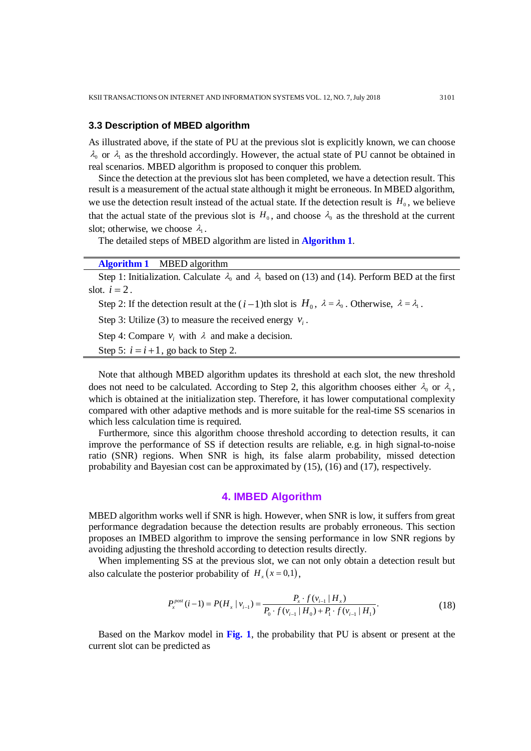#### **3.3 Description of MBED algorithm**

As illustrated above, if the state of PU at the previous slot is explicitly known, we can choose  $\lambda_0$  or  $\lambda_1$  as the threshold accordingly. However, the actual state of PU cannot be obtained in real scenarios. MBED algorithm is proposed to conquer this problem.

Since the detection at the previous slot has been completed, we have a detection result. This result is a measurement of the actual state although it might be erroneous. In MBED algorithm, we use the detection result instead of the actual state. If the detection result is  $H_0$ , we believe that the actual state of the previous slot is  $H_0$ , and choose  $\lambda_0$  as the threshold at the current slot; otherwise, we choose  $\lambda_1$ .

The detailed steps of MBED algorithm are listed in **Algorithm 1**.

| <b>Algorithm 1</b> MBED algorithm                                                                                            |
|------------------------------------------------------------------------------------------------------------------------------|
| Step 1: Initialization. Calculate $\lambda_0$ and $\lambda_1$ based on (13) and (14). Perform BED at the first               |
| slot. $i=2$ .                                                                                                                |
| Step 2: If the detection result at the $(i-1)$ th slot is $H_0$ , $\lambda = \lambda_0$ . Otherwise, $\lambda = \lambda_1$ . |
| Step 3: Utilize (3) to measure the received energy $v_i$ .                                                                   |
| Step 4: Compare $v_i$ , with $\lambda$ and make a decision.                                                                  |
| Step 5: $i = i + 1$ , go back to Step 2.                                                                                     |
|                                                                                                                              |

Note that although MBED algorithm updates its threshold at each slot, the new threshold does not need to be calculated. According to Step 2, this algorithm chooses either  $\lambda_0$  or  $\lambda_1$ , which is obtained at the initialization step. Therefore, it has lower computational complexity compared with other adaptive methods and is more suitable for the real-time SS scenarios in which less calculation time is required.

Furthermore, since this algorithm choose threshold according to detection results, it can improve the performance of SS if detection results are reliable, e.g. in high signal-to-noise ratio (SNR) regions. When SNR is high, its false alarm probability, missed detection probability and Bayesian cost can be approximated by (15), (16) and (17), respectively.

## **4. IMBED Algorithm**

MBED algorithm works well if SNR is high. However, when SNR is low, it suffers from great performance degradation because the detection results are probably erroneous. This section proposes an IMBED algorithm to improve the sensing performance in low SNR regions by avoiding adjusting the threshold according to detection results directly.

When implementing SS at the previous slot, we can not only obtain a detection result but also calculate the posterior probability of  $H_x(x=0,1)$ ,

$$
P_x^{\text{post}}(i-1) = P(H_x | v_{i-1}) = \frac{P_x \cdot f(v_{i-1} | H_x)}{P_0 \cdot f(v_{i-1} | H_0) + P_1 \cdot f(v_{i-1} | H_1)}.
$$
(18)

Based on the Markov model in **Fig. 1**, the probability that PU is absent or present at the current slot can be predicted as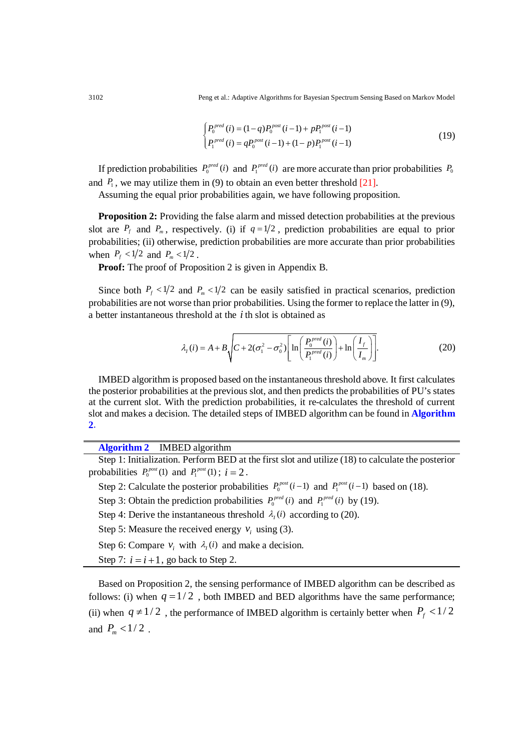3102 Peng et al.: Adaptive Algorithms for Bayesian Spectrum Sensing Based on Markov Model

$$
\begin{cases} P_0^{pred}(i) = (1-q)P_0^{post}(i-1) + pP_1^{post}(i-1) \\ P_1^{pred}(i) = qP_0^{post}(i-1) + (1-p)P_1^{post}(i-1) \end{cases}
$$
\n(19)

If prediction probabilities  $P_0^{\text{pred}}(i)$  and  $P_1^{\text{pred}}(i)$  are more accurate than prior probabilities  $P_0$ and  $P_1$ , we may utilize them in (9) to obtain an even better threshold [21].

Assuming the equal prior probabilities again, we have following proposition.

**Proposition 2:** Providing the false alarm and missed detection probabilities at the previous slot are  $P_f$  and  $P_m$ , respectively. (i) if  $q=1/2$ , prediction probabilities are equal to prior probabilities; (ii) otherwise, prediction probabilities are more accurate than prior probabilities when  $P_f < 1/2$  and  $P_m < 1/2$ .

**Proof:** The proof of Proposition 2 is given in Appendix B.

Since both  $P_f \le 1/2$  and  $P_m \le 1/2$  can be easily satisfied in practical scenarios, prediction probabilities are not worse than prior probabilities. Using the former to replace the latter in (9), a better instantaneous threshold at the *i* th slot is obtained as

$$
\lambda_{I}(i) = A + B \sqrt{C + 2(\sigma_{1}^{2} - \sigma_{0}^{2})} \left[ \ln \left( \frac{P_{0}^{pred}(i)}{P_{1}^{pred}(i)} \right) + \ln \left( \frac{I_{f}}{I_{m}} \right) \right].
$$
 (20)

IMBED algorithm is proposed based on the instantaneous threshold above. It first calculates the posterior probabilities at the previous slot, and then predicts the probabilities of PU's states at the current slot. With the prediction probabilities, it re-calculates the threshold of current slot and makes a decision. The detailed steps of IMBED algorithm can be found in **Algorithm 2**.

**Algorithm 2** IMBED algorithm

Step 1: Initialization. Perform BED at the first slot and utilize (18) to calculate the posterior probabilities  $P_0^{post}(1)$  and  $P_1^{post}(1)$ ;  $i = 2$ .

Step 2: Calculate the posterior probabilities  $P_0^{post}(i-1)$  and  $P_1^{post}(i-1)$  based on (18).

Step 3: Obtain the prediction probabilities  $P_0^{\text{pred}}(i)$  and  $P_1^{\text{pred}}(i)$  by (19).

Step 4: Derive the instantaneous threshold  $\lambda_i(i)$  according to (20).

Step 5: Measure the received energy  $v_i$  using (3).

Step 6: Compare  $v_i$  with  $\lambda_i(i)$  and make a decision.

Step 7:  $i = i + 1$ , go back to Step 2.

Based on Proposition 2, the sensing performance of IMBED algorithm can be described as follows: (i) when  $q=1/2$ , both IMBED and BED algorithms have the same performance; (ii) when  $q \neq 1/2$ , the performance of IMBED algorithm is certainly better when  $P_f < 1/2$ and  $P_m < 1/2$ .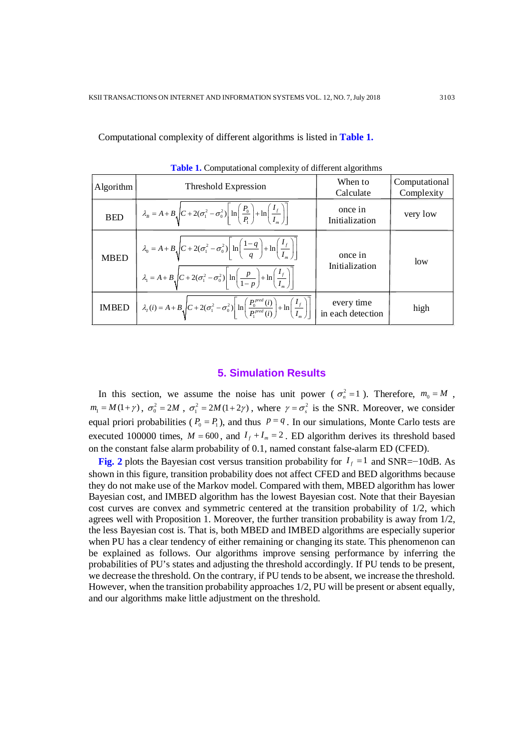| <b>Tuble 1.</b> Comparational complexity of unfertile digitalism |                                                                                                                                                                                           |                                 |                             |  |
|------------------------------------------------------------------|-------------------------------------------------------------------------------------------------------------------------------------------------------------------------------------------|---------------------------------|-----------------------------|--|
| Algorithm                                                        | Threshold Expression                                                                                                                                                                      | When to<br>Calculate            | Computational<br>Complexity |  |
| <b>BED</b>                                                       | $\lambda_B = A + B \sqrt{C + 2(\sigma_1^2 - \sigma_0^2)} \left  \ln \left( \frac{P_0}{P_1} \right) + \ln \left( \frac{I_f}{I_{-}} \right) \right $                                        | once in<br>Initialization       | very low                    |  |
| <b>MBED</b>                                                      | $\lambda_0 = A + B \sqrt{C + 2(\sigma_1^2 - \sigma_0^2)} \left[ \ln \left( \frac{1-q}{q} \right) + \ln \left( \frac{I_f}{I_m} \right) \right]$                                            | once in<br>Initialization       | low                         |  |
|                                                                  | $\lambda_1 = A + B \sqrt{C + 2(\sigma_1^2 - \sigma_0^2)} \left  \ln \left( \frac{p}{1-p} \right) + \ln \left( \frac{I_f}{I_m} \right) \right $                                            |                                 |                             |  |
| <b>IMBED</b>                                                     | $\lambda_{I}(i) = A + B \sqrt{C + 2(\sigma_{1}^{2} - \sigma_{0}^{2})} \left[ \ln \left( \frac{P_{0}^{pred}(i)}{P_{0}^{pred}(i)} \right) + \ln \left( \frac{I_{f}}{I_{-}} \right) \right]$ | every time<br>in each detection | high                        |  |

Computational complexity of different algorithms is listed in **Table 1.**

**Table 1.** Computational complexity of different algorithms

#### **5. Simulation Results**

In this section, we assume the noise has unit power ( $\sigma_n^2 = 1$ ). Therefore,  $m_0 = M$ ,  $m_1 = M(1+\gamma)$ ,  $\sigma_0^2 = 2M$ ,  $\sigma_1^2 = 2M(1+2\gamma)$ , where  $\gamma = \sigma_s^2$  is the SNR. Moreover, we consider equal priori probabilities ( $P_0 = P_1$ ), and thus  $p = q$ . In our simulations, Monte Carlo tests are executed 100000 times,  $M = 600$ , and  $I_f + I_m = 2$ . ED algorithm derives its threshold based on the constant false alarm probability of 0.1, named constant false-alarm ED (CFED).

**Fig. 2** plots the Bayesian cost versus transition probability for  $I_f = 1$  and SNR=−10dB. As shown in this figure, transition probability does not affect CFED and BED algorithms because they do not make use of the Markov model. Compared with them, MBED algorithm has lower Bayesian cost, and IMBED algorithm has the lowest Bayesian cost. Note that their Bayesian cost curves are convex and symmetric centered at the transition probability of 1/2, which agrees well with Proposition 1. Moreover, the further transition probability is away from 1/2, the less Bayesian cost is. That is, both MBED and IMBED algorithms are especially superior when PU has a clear tendency of either remaining or changing its state. This phenomenon can be explained as follows. Our algorithms improve sensing performance by inferring the probabilities of PU's states and adjusting the threshold accordingly. If PU tends to be present, we decrease the threshold. On the contrary, if PU tends to be absent, we increase the threshold. However, when the transition probability approaches 1/2, PU will be present or absent equally, and our algorithms make little adjustment on the threshold.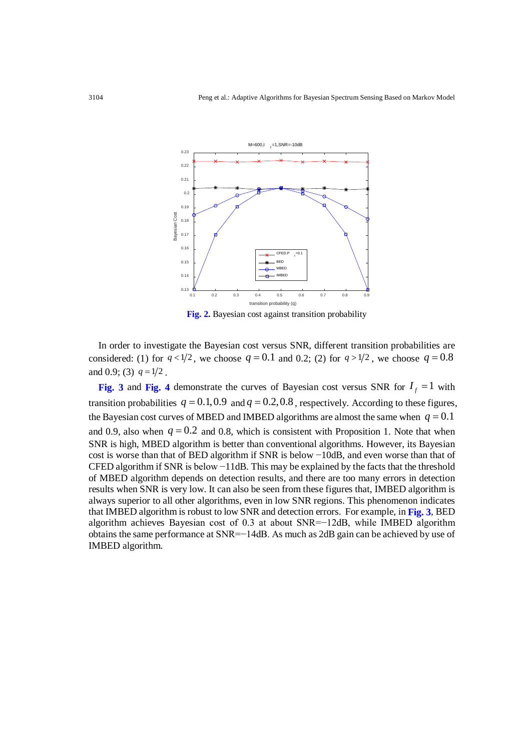

**Fig. 2.** Bayesian cost against transition probability

In order to investigate the Bayesian cost versus SNR, different transition probabilities are considered: (1) for  $q < 1/2$ , we choose  $q = 0.1$  and 0.2; (2) for  $q > 1/2$ , we choose  $q = 0.8$ and 0.9; (3)  $q = 1/2$ .

**Fig. 3** and **Fig.** 4 demonstrate the curves of Bayesian cost versus SNR for  $I_f = 1$  with transition probabilities  $q = 0.1, 0.9$  and  $q = 0.2, 0.8$ , respectively. According to these figures, the Bayesian cost curves of MBED and IMBED algorithms are almost the same when  $q = 0.1$ and 0.9, also when  $q = 0.2$  and 0.8, which is consistent with Proposition 1. Note that when SNR is high, MBED algorithm is better than conventional algorithms. However, its Bayesian cost is worse than that of BED algorithm if SNR is below −10dB, and even worse than that of CFED algorithm if SNR is below −11dB. This may be explained by the facts that the threshold of MBED algorithm depends on detection results, and there are too many errors in detection results when SNR is very low. It can also be seen from these figures that, IMBED algorithm is always superior to all other algorithms, even in low SNR regions. This phenomenon indicates that IMBED algorithm is robust to low SNR and detection errors. For example, in **Fig. 3**, BED algorithm achieves Bayesian cost of 0.3 at about SNR=−12dB, while IMBED algorithm obtains the same performance at SNR=−14dB. As much as 2dB gain can be achieved by use of IMBED algorithm.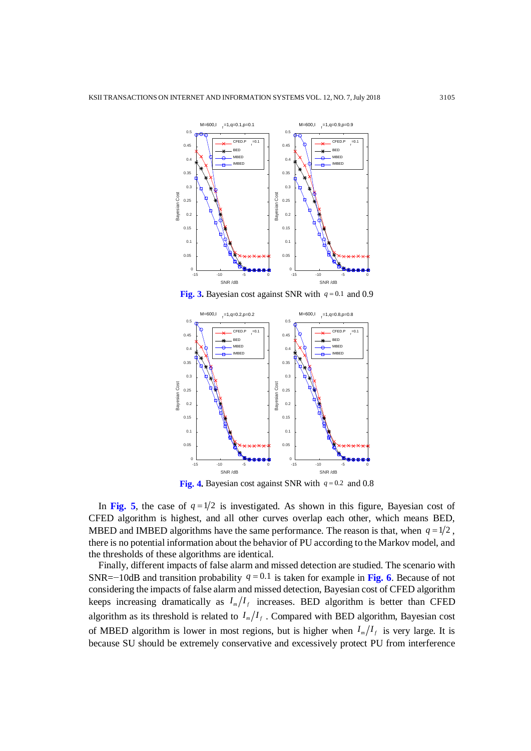

**Fig. 3.** Bayesian cost against SNR with *q* = 0.1 and 0.9



**Fig. 4.** Bayesian cost against SNR with *q* = 0.2 and 0.8

In Fig. 5, the case of  $q = 1/2$  is investigated. As shown in this figure, Bayesian cost of CFED algorithm is highest, and all other curves overlap each other, which means BED, MBED and IMBED algorithms have the same performance. The reason is that, when  $q = 1/2$ , there is no potential information about the behavior of PU according to the Markov model, and the thresholds of these algorithms are identical.

Finally, different impacts of false alarm and missed detection are studied. The scenario with SNR=−10dB and transition probability  $q = 0.1$  is taken for example in Fig. 6. Because of not considering the impacts of false alarm and missed detection, Bayesian cost of CFED algorithm keeps increasing dramatically as  $I_m/I_f$  increases. BED algorithm is better than CFED algorithm as its threshold is related to  $I_m/I_f$ . Compared with BED algorithm, Bayesian cost of MBED algorithm is lower in most regions, but is higher when  $I_m/I_f$  is very large. It is because SU should be extremely conservative and excessively protect PU from interference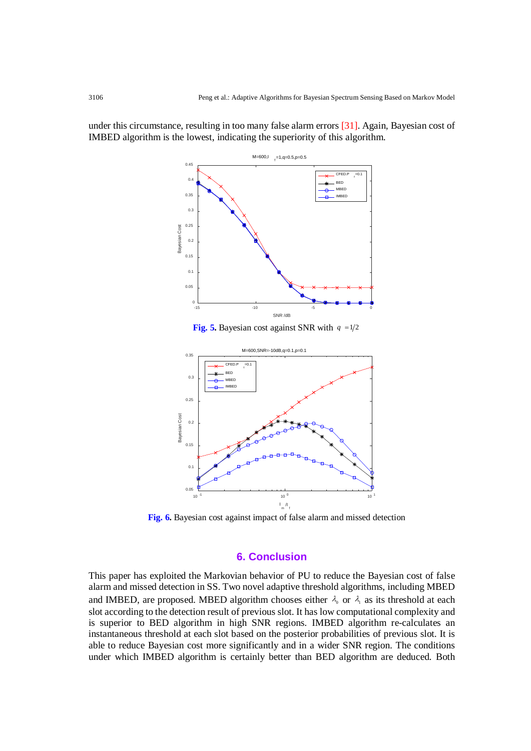$M = 600, I$  $t_f$ =1,q=0.5,p=0.5  $0.45$ CFED.P  $=0.$ 0.4 BED MBED  $0.35$ IMBED 0.3 0.25 Bayesian Cost Bayesian Cost 0.2 0.15 0.1 0.05  $\overline{0}$ -15 -10 -10 -5 0 SNR /dB

under this circumstance, resulting in too many false alarm errors [31]. Again, Bayesian cost of IMBED algorithm is the lowest, indicating the superiority of this algorithm.

**Fig. 5.** Bayesian cost against SNR with  $q = 1/2$ 



**Fig. 6.** Bayesian cost against impact of false alarm and missed detection

## **6. Conclusion**

This paper has exploited the Markovian behavior of PU to reduce the Bayesian cost of false alarm and missed detection in SS. Two novel adaptive threshold algorithms, including MBED and IMBED, are proposed. MBED algorithm chooses either  $\lambda_0$  or  $\lambda_1$  as its threshold at each slot according to the detection result of previous slot. It has low computational complexity and is superior to BED algorithm in high SNR regions. IMBED algorithm re-calculates an instantaneous threshold at each slot based on the posterior probabilities of previous slot. It is able to reduce Bayesian cost more significantly and in a wider SNR region. The conditions under which IMBED algorithm is certainly better than BED algorithm are deduced. Both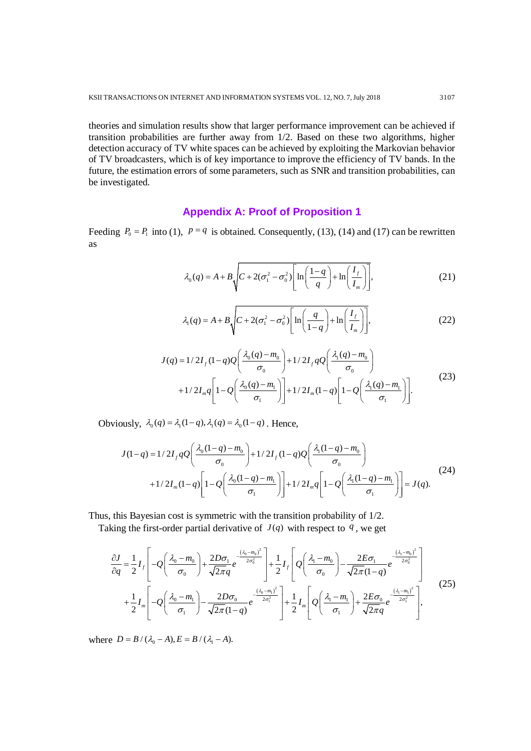theories and simulation results show that larger performance improvement can be achieved if transition probabilities are further away from 1/2. Based on these two algorithms, higher detection accuracy of TV white spaces can be achieved by exploiting the Markovian behavior of TV broadcasters, which is of key importance to improve the efficiency of TV bands. In the future, the estimation errors of some parameters, such as SNR and transition probabilities, can be investigated.

## **Appendix A: Proof of Proposition 1**

Feeding  $P_0 = P_1$  into (1),  $p = q$  is obtained. Consequently, (13), (14) and (17) can be rewritten as

$$
\lambda_0(q) = A + B \sqrt{C + 2(\sigma_1^2 - \sigma_0^2) \left[ \ln \left( \frac{1 - q}{q} \right) + \ln \left( \frac{I_f}{I_m} \right) \right]},
$$
\n(21)

$$
\lambda_1(q) = A + B \sqrt{C + 2(\sigma_1^2 - \sigma_0^2) \left[ \ln \left( \frac{q}{1 - q} \right) + \ln \left( \frac{I_f}{I_m} \right) \right]},
$$
\n(22)

$$
J(q) = 1/2I_{f}(1-q)Q\left(\frac{\lambda_{0}(q) - m_{0}}{\sigma_{0}}\right) + 1/2I_{f}qQ\left(\frac{\lambda_{1}(q) - m_{0}}{\sigma_{0}}\right) + 1/2I_{m}q\left[1 - Q\left(\frac{\lambda_{0}(q) - m_{1}}{\sigma_{1}}\right)\right] + 1/2I_{m}(1-q)\left[1 - Q\left(\frac{\lambda_{1}(q) - m_{1}}{\sigma_{1}}\right)\right].
$$
\n(23)

Obviously,  $\lambda_0(q) = \lambda_1(1-q), \lambda_1(q) = \lambda_0(1-q)$ . Hence,

$$
J(1-q) = 1/2I_f qQ\left(\frac{\lambda_0(1-q) - m_0}{\sigma_0}\right) + 1/2I_f(1-q)Q\left(\frac{\lambda_1(1-q) - m_0}{\sigma_0}\right) + 1/2I_m(1-q)\left[1 - Q\left(\frac{\lambda_0(1-q) - m_1}{\sigma_1}\right)\right] + 1/2I_m q\left[1 - Q\left(\frac{\lambda_1(1-q) - m_1}{\sigma_1}\right)\right] = J(q).
$$
\n(24)

Thus, this Bayesian cost is symmetric with the transition probability of 1/2.

Taking the first-order partial derivative of  $J(q)$  with respect to  $q$ , we get

$$
\frac{\partial J}{\partial q} = \frac{1}{2} I_f \left[ -Q \left( \frac{\lambda_0 - m_0}{\sigma_0} \right) + \frac{2D\sigma_1}{\sqrt{2\pi}q} e^{-\frac{\left( \lambda_0 - m_0 \right)^2}{2\sigma_0^2}} \right] + \frac{1}{2} I_f \left[ Q \left( \frac{\lambda_1 - m_0}{\sigma_0} \right) - \frac{2E\sigma_1}{\sqrt{2\pi}(1-q)} e^{-\frac{\left( \lambda_1 - m_0 \right)^2}{2\sigma_0^2}} \right] + \frac{1}{2} I_m \left[ -Q \left( \frac{\lambda_0 - m_1}{\sigma_1} \right) - \frac{2D\sigma_0}{\sqrt{2\pi}(1-q)} e^{-\frac{\left( \lambda_0 - m_1 \right)^2}{2\sigma_1^2}} \right] + \frac{1}{2} I_m \left[ Q \left( \frac{\lambda_1 - m_1}{\sigma_1} \right) + \frac{2E\sigma_0}{\sqrt{2\pi}q} e^{-\frac{\left( \lambda_1 - m_0 \right)^2}{2\sigma_1^2}} \right],
$$
\n(25)

where  $D = B / (\lambda_0 - A), E = B / (\lambda_1 - A).$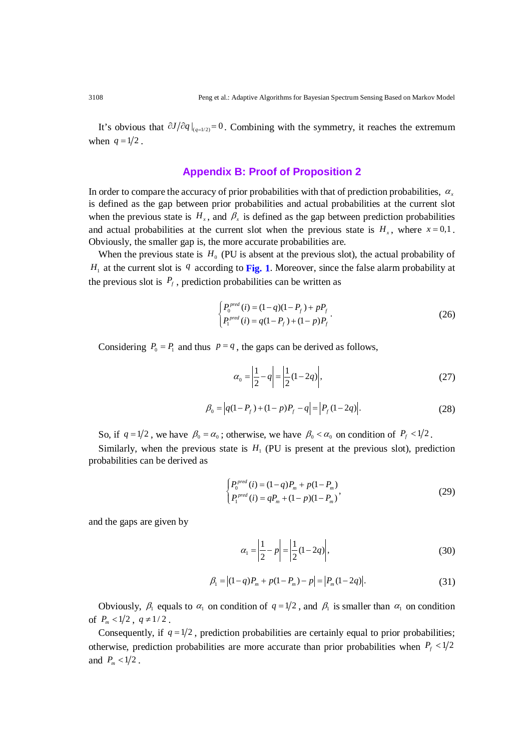It's obvious that  $\partial J/\partial q \big|_{q=1/2} = 0$ . Combining with the symmetry, it reaches the extremum when  $q = 1/2$ .

## **Appendix B: Proof of Proposition 2**

In order to compare the accuracy of prior probabilities with that of prediction probabilities,  $\alpha$ , is defined as the gap between prior probabilities and actual probabilities at the current slot when the previous state is  $H_x$ , and  $\beta_x$  is defined as the gap between prediction probabilities and actual probabilities at the current slot when the previous state is  $H<sub>x</sub>$ , where  $x = 0.1$ . Obviously, the smaller gap is, the more accurate probabilities are.

When the previous state is  $H_0$  (PU is absent at the previous slot), the actual probability of  $H_1$  at the current slot is *q* according to **Fig.** 1. Moreover, since the false alarm probability at the previous slot is  $P_f$ , prediction probabilities can be written as

$$
\begin{cases}\nP_0^{pred}(i) = (1 - q)(1 - P_f) + pP_f \\
P_1^{pred}(i) = q(1 - P_f) + (1 - p)P_f\n\end{cases} \tag{26}
$$

Considering  $P_0 = P_1$  and thus  $p = q$ , the gaps can be derived as follows,

$$
\alpha_0 = \left| \frac{1}{2} - q \right| = \left| \frac{1}{2} (1 - 2q) \right|,\tag{27}
$$

$$
\beta_0 = |q(1 - P_f) + (1 - p)P_f - q| = |P_f(1 - 2q)|.
$$
\n(28)

So, if  $q = 1/2$ , we have  $\beta_0 = \alpha_0$ ; otherwise, we have  $\beta_0 < \alpha_0$  on condition of  $P_f < 1/2$ .

Similarly, when the previous state is  $H_1$  (PU is present at the previous slot), prediction probabilities can be derived as

$$
\begin{cases}\nP_0^{pred}(i) = (1-q)P_m + p(1-P_m) \\
P_1^{pred}(i) = qP_m + (1-p)(1-P_m)\n\end{cases}
$$
\n(29)

and the gaps are given by

$$
\alpha_1 = \left| \frac{1}{2} - p \right| = \left| \frac{1}{2} (1 - 2q) \right|,\tag{30}
$$

$$
\beta_1 = |(1-q)P_m + p(1-P_m) - p| = |P_m(1-2q)|. \tag{31}
$$

Obviously,  $\beta_1$  equals to  $\alpha_1$  on condition of  $q = 1/2$ , and  $\beta_1$  is smaller than  $\alpha_1$  on condition of  $P_m < 1/2$ ,  $q \neq 1/2$ .

Consequently, if  $q = 1/2$ , prediction probabilities are certainly equal to prior probabilities; otherwise, prediction probabilities are more accurate than prior probabilities when  $P_f < 1/2$ and  $P_m < 1/2$ .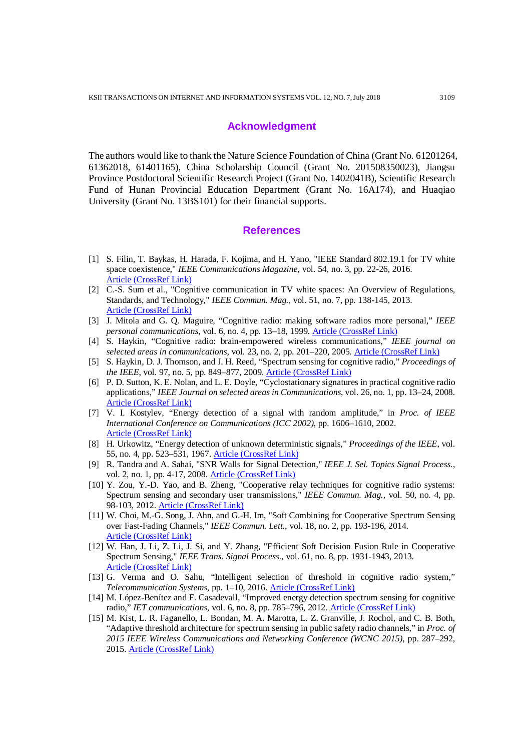#### **Acknowledgment**

The authors would like to thank the Nature Science Foundation of China (Grant No. 61201264, 61362018, 61401165), China Scholarship Council (Grant No. 201508350023), Jiangsu Province Postdoctoral Scientific Research Project (Grant No. 1402041B), Scientific Research Fund of Hunan Provincial Education Department (Grant No. 16A174), and Huaqiao University (Grant No. 13BS101) for their financial supports.

### **References**

- [1] S. Filin, T. Baykas, H. Harada, F. Kojima, and H. Yano, "IEEE Standard 802.19.1 for TV white space coexistence," *IEEE Communications Magazine*, vol. 54, no. 3, pp. 22-26, 2016. [Article \(CrossRef Link\)](http://dx.doi.org/doi:10.1109/MCOM.2016.7432167)
- [2] C.-S. Sum et al., "Cognitive communication in TV white spaces: An Overview of Regulations, Standards, and Technology," *IEEE Commun. Mag.*, vol. 51, no. 7, pp. 138-145, 2013. [Article \(CrossRef Link\)](https://doi.org/10.1109/MCOM.2013.6553690)
- [3] J. Mitola and G. Q. Maguire, "Cognitive radio: making software radios more personal," *IEEE personal communications*, vol. 6, no. 4, pp. 13–18, 1999. [Article \(CrossRef Link\)](http://dx.doi.org/doi:10.1109/98.788210)
- [4] S. Haykin, "Cognitive radio: brain-empowered wireless communications," *IEEE journal on selected areas in communications*, vol. 23, no. 2, pp. 201–220, 2005. [Article \(CrossRef Link\)](http://dx.doi.org/doi:10.1109/JSAC.2004.839380)
- [5] S. Haykin, D. J. Thomson, and J. H. Reed, "Spectrum sensing for cognitive radio," *Proceedings of the IEEE*, vol. 97, no. 5, pp. 849–877, 2009[. Article \(CrossRef Link\)](http://dx.doi.org/doi:10.1109/JPROC.2009.2015711)
- [6] P. D. Sutton, K. E. Nolan, and L. E. Doyle, "Cyclostationary signatures in practical cognitive radio applications," *IEEE Journal on selected areas in Communications*, vol. 26, no. 1, pp. 13–24, 2008. [Article \(CrossRef Link\)](http://dx.doi.org/doi:10.1109/JSAC.2008.080103)
- [7] V. I. Kostylev, "Energy detection of a signal with random amplitude," in *Proc. of IEEE International Conference on Communications (ICC 2002)*, pp. 1606–1610, 2002. [Article \(CrossRef Link\)](http://dx.doi.org/doi:10.1109/ICC.2002.997120)
- [8] H. Urkowitz, "Energy detection of unknown deterministic signals," *Proceedings of the IEEE*, vol. 55, no. 4, pp. 523–531, 1967. [Article \(CrossRef Link\)](http://dx.doi.org/doi:10.1109/PROC.1968.6600)
- [9] R. Tandra and A. Sahai, "SNR Walls for Signal Detection," *IEEE J. Sel. Topics Signal Process.*, vol. 2, no. 1, pp. 4-17, 2008. [Article \(CrossRef Link\)](https://doi.org/10.1109/MCOM.2012.6178840)
- [10] Y. Zou, Y.-D. Yao, and B. Zheng, "Cooperative relay techniques for cognitive radio systems: Spectrum sensing and secondary user transmissions," *IEEE Commun. Mag.*, vol. 50, no. 4, pp. 98-103, 2012. [Article \(CrossRef Link\)](https://doi.org/10.1109/MCOM.2012.6178840)
- [11] W. Choi, M.-G. Song, J. Ahn, and G.-H. Im, "Soft Combining for Cooperative Spectrum Sensing over Fast-Fading Channels," *IEEE Commun. Lett.,* vol. 18, no. 2, pp. 193-196, 2014. [Article \(CrossRef Link\)](https://doi.org/10.1109/LCOMM.2013.112713.131767)
- [12] W. Han, J. Li, Z. Li, J. Si, and Y. Zhang, "Efficient Soft Decision Fusion Rule in Cooperative Spectrum Sensing," *IEEE Trans. Signal Process.*, vol. 61, no. 8, pp. 1931-1943, 2013. [Article \(CrossRef Link\)](https://doi.org/10.1109/TSP.2013.2245659)
- [13] G. Verma and O. Sahu, "Intelligent selection of threshold in cognitive radio system," *Telecommunication Systems*, pp. 1–10, 2016. [Article \(CrossRef Link\)](http://dx.doi.org/doi:10.1007/s11235-016-0141-y)
- [14] M. López-Benítez and F. Casadevall, "Improved energy detection spectrum sensing for cognitive radio," *IET communications*, vol. 6, no. 8, pp. 785–796, 2012. [Article \(CrossRef Link\)](http://dx.doi.org/doi:10.1049/iet-com.2010.0571)
- [15] M. Kist, L. R. Faganello, L. Bondan, M. A. Marotta, L. Z. Granville, J. Rochol, and C. B. Both, "Adaptive threshold architecture for spectrum sensing in public safety radio channels," in *Proc. of 2015 IEEE Wireless Communications and Networking Conference (WCNC 2015)*, pp. 287–292, 2015. [Article \(CrossRef Link\)](http://dx.doi.org/doi:10.1109/WCNC.2015.7127484)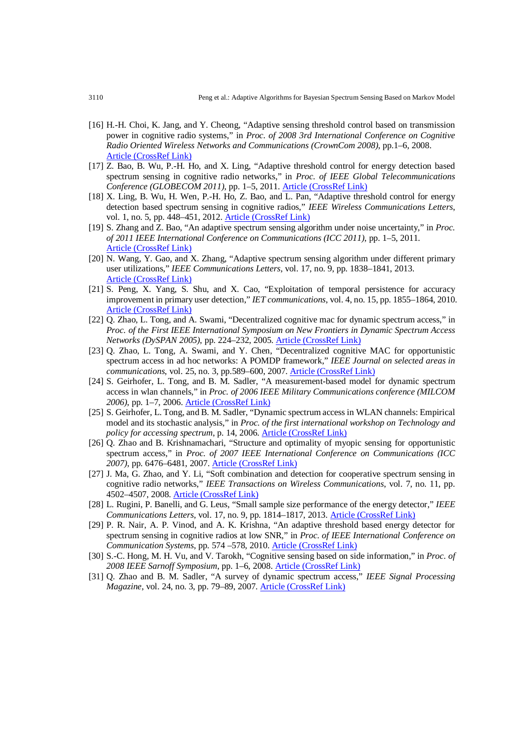- [16] H.-H. Choi, K. Jang, and Y. Cheong, "Adaptive sensing threshold control based on transmission power in cognitive radio systems," in *Proc. of 2008 3rd International Conference on Cognitive Radio Oriented Wireless Networks and Communications (CrownCom 2008)*, pp.1–6, 2008. [Article \(CrossRef Link\)](http://dx.doi.org/doi:10.1109/CROWNCOM.2008.4562452)
- [17] Z. Bao, B. Wu, P.-H. Ho, and X. Ling, "Adaptive threshold control for energy detection based spectrum sensing in cognitive radio networks," in *Proc. of IEEE Global Telecommunications Conference (GLOBECOM 2011)*, pp. 1–5, 2011[. Article \(CrossRef Link\)](http://dx.doi.org/doi:10.1109/GLOCOM.2011.6133659)
- [18] X. Ling, B. Wu, H. Wen, P.-H. Ho, Z. Bao, and L. Pan, "Adaptive threshold control for energy detection based spectrum sensing in cognitive radios," *IEEE Wireless Communications Letters*, vol. 1, no. 5, pp. 448–451, 2012. [Article \(CrossRef Link\)](http://dx.doi.org/doi:10.1109/WCL.2012.062512.120299)
- [19] S. Zhang and Z. Bao, "An adaptive spectrum sensing algorithm under noise uncertainty," in *Proc. of 2011 IEEE International Conference on Communications (ICC 2011)*, pp. 1–5, 2011. [Article \(CrossRef Link\)](http://dx.doi.org/doi:10.1109/icc.2011.5962493)
- [20] N. Wang, Y. Gao, and X. Zhang, "Adaptive spectrum sensing algorithm under different primary user utilizations," *IEEE Communications Letters*, vol. 17, no. 9, pp. 1838–1841, 2013. [Article \(CrossRef Link\)](http://dx.doi.org/doi:10.1109/LCOMM.2013.081313.131468)
- [21] S. Peng, X. Yang, S. Shu, and X. Cao, "Exploitation of temporal persistence for accuracy improvement in primary user detection," *IET communications*, vol. 4, no. 15, pp. 1855–1864, 2010. [Article \(CrossRef Link\)](http://dx.doi.org/doi:10.1049/iet-com.2009.0787)
- [22] Q. Zhao, L. Tong, and A. Swami, "Decentralized cognitive mac for dynamic spectrum access," in *Proc. of the First IEEE International Symposium on New Frontiers in Dynamic Spectrum Access Networks (DySPAN 2005)*, pp. 224–232, 2005. [Article \(CrossRef Link\)](http://dx.doi.org/doi:10.1109/DYSPAN.2005.1542638)
- [23] Q. Zhao, L. Tong, A. Swami, and Y. Chen, "Decentralized cognitive MAC for opportunistic spectrum access in ad hoc networks: A POMDP framework," *IEEE Journal on selected areas in communications*, vol. 25, no. 3, pp.589–600, 2007. [Article \(CrossRef Link\)](http://dx.doi.org/doi:10.1109/JSAC.2007.070409)
- [24] S. Geirhofer, L. Tong, and B. M. Sadler, "A measurement-based model for dynamic spectrum access in wlan channels," in *Proc. of 2006 IEEE Military Communications conference (MILCOM 2006)*, pp. 1–7, 2006[. Article \(CrossRef Link\)](http://dx.doi.org/doi:10.1109/MILCOM.2006.302405)
- [25] S. Geirhofer, L. Tong, and B. M. Sadler, "Dynamic spectrum access in WLAN channels: Empirical model and its stochastic analysis," in *Proc. of the first international workshop on Technology and policy for accessing spectrum*, p. 14, 2006. [Article \(CrossRef Link\)](http://dx.doi.org/doi:10.1145/1234388.1234402)
- [26] Q. Zhao and B. Krishnamachari, "Structure and optimality of myopic sensing for opportunistic spectrum access," in *Proc. of 2007 IEEE International Conference on Communications (ICC 2007)*, pp. 6476–6481, 2007[. Article \(CrossRef Link\)](http://dx.doi.org/doi:10.1109/ICC.2007.1071)
- [27] J. Ma, G. Zhao, and Y. Li, "Soft combination and detection for cooperative spectrum sensing in cognitive radio networks," *IEEE Transactions on Wireless Communications*, vol. 7, no. 11, pp. 4502–4507, 2008. [Article \(CrossRef Link\)](http://dx.doi.org/doi:10.1109/T-WC.2008.070941)
- [28] L. Rugini, P. Banelli, and G. Leus, "Small sample size performance of the energy detector," *IEEE Communications Letters*, vol. 17, no. 9, pp. 1814–1817, 2013. [Article \(CrossRef Link\)](http://dx.doi.org/doi:10.1109/LCOMM.2013.080813.131399)
- [29] P. R. Nair, A. P. Vinod, and A. K. Krishna, "An adaptive threshold based energy detector for spectrum sensing in cognitive radios at low SNR," in *Proc. of IEEE International Conference on Communication Systems*, pp. 574 –578, 2010. [Article \(CrossRef Link\)](http://dx.doi.org/doi:10.1109/ICCS.2010.5686712)
- [30] S.-C. Hong, M. H. Vu, and V. Tarokh, "Cognitive sensing based on side information," in *Proc. of 2008 IEEE Sarnoff Symposium*, pp. 1–6, 2008[. Article \(CrossRef Link\)](http://dx.doi.org/doi:10.1109/SARNOF.2008.4520040)
- [31] Q. Zhao and B. M. Sadler, "A survey of dynamic spectrum access," *IEEE Signal Processing Magazine*, vol. 24, no. 3, pp. 79–89, 2007[. Article \(CrossRef Link\)](http://dx.doi.org/doi:10.1109/MSP.2007.361604)